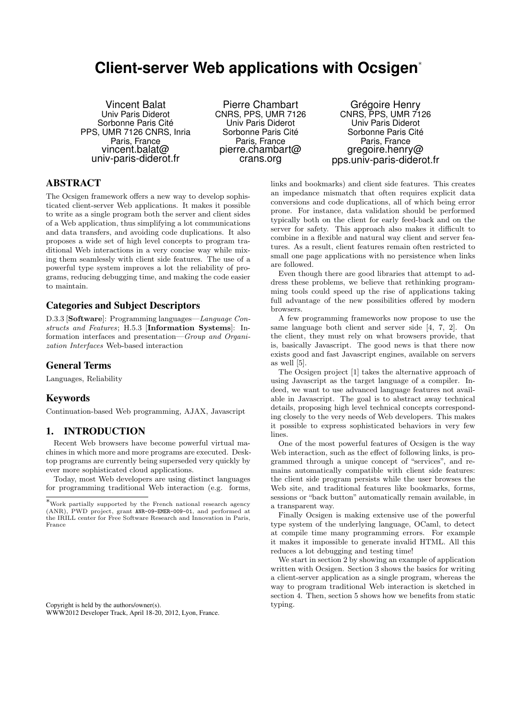# **Client-server Web applications with Ocsigen**<sup>∗</sup>

Vincent Balat Univ Paris Diderot Sorbonne Paris Cité PPS, UMR 7126 CNRS, Inria Paris, France vincent.balat@ univ-paris-diderot.fr

Pierre Chambart CNRS, PPS, UMR 7126 Univ Paris Diderot Sorbonne Paris Cité Paris, France pierre.chambart@ crans.org

Grégoire Henry CNRS, PPS, UMR 7126 Univ Paris Diderot Sorbonne Paris Cité Paris, France gregoire.henry@ pps.univ-paris-diderot.fr

# ABSTRACT

The Ocsigen framework offers a new way to develop sophisticated client-server Web applications. It makes it possible to write as a single program both the server and client sides of a Web application, thus simplifying a lot communications and data transfers, and avoiding code duplications. It also proposes a wide set of high level concepts to program traditional Web interactions in a very concise way while mixing them seamlessly with client side features. The use of a powerful type system improves a lot the reliability of programs, reducing debugging time, and making the code easier to maintain.

# Categories and Subject Descriptors

D.3.3 [Software]: Programming languages—Language Constructs and Features; H.5.3 [Information Systems]: Information interfaces and presentation—Group and Organization Interfaces Web-based interaction

## General Terms

Languages, Reliability

## Keywords

Continuation-based Web programming, AJAX, Javascript

## 1. INTRODUCTION

Recent Web browsers have become powerful virtual machines in which more and more programs are executed. Desktop programs are currently being superseded very quickly by ever more sophisticated cloud applications.

Today, most Web developers are using distinct languages for programming traditional Web interaction (e.g. forms, links and bookmarks) and client side features. This creates an impedance mismatch that often requires explicit data conversions and code duplications, all of which being error prone. For instance, data validation should be performed typically both on the client for early feed-back and on the server for safety. This approach also makes it difficult to combine in a flexible and natural way client and server features. As a result, client features remain often restricted to small one page applications with no persistence when links are followed.

Even though there are good libraries that attempt to address these problems, we believe that rethinking programming tools could speed up the rise of applications taking full advantage of the new possibilities offered by modern browsers.

A few programming frameworks now propose to use the same language both client and server side [4, 7, 2]. On the client, they must rely on what browsers provide, that is, basically Javascript. The good news is that there now exists good and fast Javascript engines, available on servers as well [5].

The Ocsigen project [1] takes the alternative approach of using Javascript as the target language of a compiler. Indeed, we want to use advanced language features not available in Javascript. The goal is to abstract away technical details, proposing high level technical concepts corresponding closely to the very needs of Web developers. This makes it possible to express sophisticated behaviors in very few lines.

One of the most powerful features of Ocsigen is the way Web interaction, such as the effect of following links, is programmed through a unique concept of "services", and remains automatically compatible with client side features: the client side program persists while the user browses the Web site, and traditional features like bookmarks, forms, sessions or "back button" automatically remain available, in a transparent way.

Finally Ocsigen is making extensive use of the powerful type system of the underlying language, OCaml, to detect at compile time many programming errors. For example it makes it impossible to generate invalid HTML. All this reduces a lot debugging and testing time!

We start in section 2 by showing an example of application written with Ocsigen. Section 3 shows the basics for writing a client-server application as a single program, whereas the way to program traditional Web interaction is sketched in section 4. Then, section 5 shows how we benefits from static typing.

<sup>∗</sup>Work partially supported by the French national research agency (ANR), PWD project, grant ANR-09-EMER-009-01, and performed at the IRILL center for Free Software Research and Innovation in Paris, France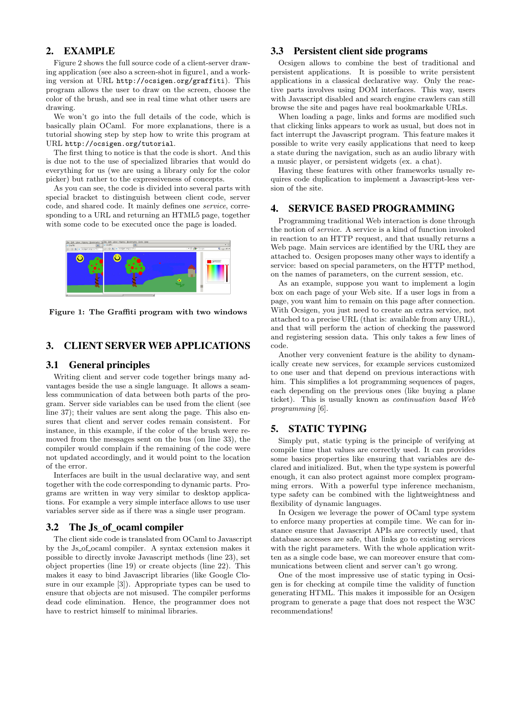# 2. EXAMPLE

Figure 2 shows the full source code of a client-server drawing application (see also a screen-shot in figure1, and a working version at URL http://ocsigen.org/graffiti). This program allows the user to draw on the screen, choose the color of the brush, and see in real time what other users are drawing.

We won't go into the full details of the code, which is basically plain OCaml. For more explanations, there is a tutorial showing step by step how to write this program at URL http://ocsigen.org/tutorial.

The first thing to notice is that the code is short. And this is due not to the use of specialized libraries that would do everything for us (we are using a library only for the color picker) but rather to the expressiveness of concepts.

As you can see, the code is divided into several parts with special bracket to distinguish between client code, server code, and shared code. It mainly defines one service, corresponding to a URL and returning an HTML5 page, together with some code to be executed once the page is loaded.



Figure 1: The Graffiti program with two windows

## 3. CLIENT SERVER WEB APPLICATIONS

## 3.1 General principles

Writing client and server code together brings many advantages beside the use a single language. It allows a seamless communication of data between both parts of the program. Server side variables can be used from the client (see line 37); their values are sent along the page. This also ensures that client and server codes remain consistent. For instance, in this example, if the color of the brush were removed from the messages sent on the bus (on line 33), the compiler would complain if the remaining of the code were not updated accordingly, and it would point to the location of the error.

Interfaces are built in the usual declarative way, and sent together with the code corresponding to dynamic parts. Programs are written in way very similar to desktop applications. For example a very simple interface allows to use user variables server side as if there was a single user program.

### 3.2 The Js\_of\_ocaml compiler

The client side code is translated from OCaml to Javascript by the Js of ocaml compiler. A syntax extension makes it possible to directly invoke Javascript methods (line 23), set object properties (line 19) or create objects (line 22). This makes it easy to bind Javascript libraries (like Google Closure in our example [3]). Appropriate types can be used to ensure that objects are not misused. The compiler performs dead code elimination. Hence, the programmer does not have to restrict himself to minimal libraries.

## 3.3 Persistent client side programs

Ocsigen allows to combine the best of traditional and persistent applications. It is possible to write persistent applications in a classical declarative way. Only the reactive parts involves using DOM interfaces. This way, users with Javascript disabled and search engine crawlers can still browse the site and pages have real bookmarkable URLs.

When loading a page, links and forms are modified such that clicking links appears to work as usual, but does not in fact interrupt the Javascript program. This feature makes it possible to write very easily applications that need to keep a state during the navigation, such as an audio library with a music player, or persistent widgets (ex. a chat).

Having these features with other frameworks usually requires code duplication to implement a Javascript-less version of the site.

## 4. SERVICE BASED PROGRAMMING

Programming traditional Web interaction is done through the notion of service. A service is a kind of function invoked in reaction to an HTTP request, and that usually returns a Web page. Main services are identified by the URL they are attached to. Ocsigen proposes many other ways to identify a service: based on special parameters, on the HTTP method, on the names of parameters, on the current session, etc.

As an example, suppose you want to implement a login box on each page of your Web site. If a user logs in from a page, you want him to remain on this page after connection. With Ocsigen, you just need to create an extra service, not attached to a precise URL (that is: available from any URL), and that will perform the action of checking the password and registering session data. This only takes a few lines of code.

Another very convenient feature is the ability to dynamically create new services, for example services customized to one user and that depend on previous interactions with him. This simplifies a lot programming sequences of pages, each depending on the previous ones (like buying a plane ticket). This is usually known as continuation based Web programming [6].

## 5. STATIC TYPING

Simply put, static typing is the principle of verifying at compile time that values are correctly used. It can provides some basics properties like ensuring that variables are declared and initialized. But, when the type system is powerful enough, it can also protect against more complex programming errors. With a powerful type inference mechanism, type safety can be combined with the lightweightness and flexibility of dynamic languages.

In Ocsigen we leverage the power of OCaml type system to enforce many properties at compile time. We can for instance ensure that Javascript APIs are correctly used, that database accesses are safe, that links go to existing services with the right parameters. With the whole application written as a single code base, we can moreover ensure that communications between client and server can't go wrong.

One of the most impressive use of static typing in Ocsigen is for checking at compile time the validity of function generating HTML. This makes it impossible for an Ocsigen program to generate a page that does not respect the W3C recommendations!